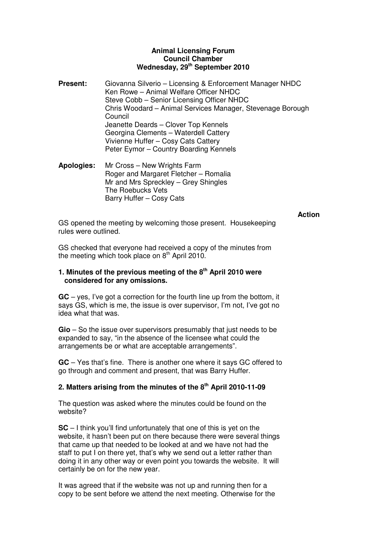## **Animal Licensing Forum Council Chamber Wednesday, 29th September 2010**

- **Present:** Giovanna Silverio Licensing & Enforcement Manager NHDC Ken Rowe – Animal Welfare Officer NHDC Steve Cobb – Senior Licensing Officer NHDC Chris Woodard – Animal Services Manager, Stevenage Borough Council Jeanette Deards – Clover Top Kennels Georgina Clements – Waterdell Cattery Vivienne Huffer – Cosy Cats Cattery Peter Eymor – Country Boarding Kennels
- **Apologies:** Mr Cross New Wrights Farm Roger and Margaret Fletcher – Romalia Mr and Mrs Spreckley – Grey Shingles The Roebucks Vets Barry Huffer – Cosy Cats

## **Action**

GS opened the meeting by welcoming those present. Housekeeping rules were outlined.

GS checked that everyone had received a copy of the minutes from the meeting which took place on  $8<sup>th</sup>$  April 2010.

## **1. Minutes of the previous meeting of the 8th April 2010 were considered for any omissions.**

**GC** – yes, I've got a correction for the fourth line up from the bottom, it says GS, which is me, the issue is over supervisor, I'm not, I've got no idea what that was.

**Gio** – So the issue over supervisors presumably that just needs to be expanded to say, "in the absence of the licensee what could the arrangements be or what are acceptable arrangements".

**GC** – Yes that's fine. There is another one where it says GC offered to go through and comment and present, that was Barry Huffer.

# **2. Matters arising from the minutes of the 8th April 2010-11-09**

The question was asked where the minutes could be found on the website?

**SC** – I think you'll find unfortunately that one of this is yet on the website, it hasn't been put on there because there were several things that came up that needed to be looked at and we have not had the staff to put I on there yet, that's why we send out a letter rather than doing it in any other way or even point you towards the website. It will certainly be on for the new year.

It was agreed that if the website was not up and running then for a copy to be sent before we attend the next meeting. Otherwise for the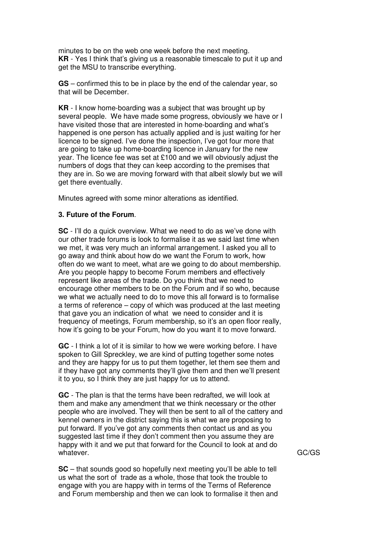minutes to be on the web one week before the next meeting. **KR** - Yes I think that's giving us a reasonable timescale to put it up and get the MSU to transcribe everything.

**GS** – confirmed this to be in place by the end of the calendar year, so that will be December.

**KR** - I know home-boarding was a subject that was brought up by several people. We have made some progress, obviously we have or I have visited those that are interested in home-boarding and what's happened is one person has actually applied and is just waiting for her licence to be signed. I've done the inspection, I've got four more that are going to take up home-boarding licence in January for the new year. The licence fee was set at £100 and we will obviously adjust the numbers of dogs that they can keep according to the premises that they are in. So we are moving forward with that albeit slowly but we will get there eventually.

Minutes agreed with some minor alterations as identified.

## **3. Future of the Forum**.

**SC** - I'll do a quick overview. What we need to do as we've done with our other trade forums is look to formalise it as we said last time when we met, it was very much an informal arrangement. I asked you all to go away and think about how do we want the Forum to work, how often do we want to meet, what are we going to do about membership. Are you people happy to become Forum members and effectively represent like areas of the trade. Do you think that we need to encourage other members to be on the Forum and if so who, because we what we actually need to do to move this all forward is to formalise a terms of reference – copy of which was produced at the last meeting that gave you an indication of what we need to consider and it is frequency of meetings, Forum membership, so it's an open floor really, how it's going to be your Forum, how do you want it to move forward.

**GC** - I think a lot of it is similar to how we were working before. I have spoken to Gill Spreckley, we are kind of putting together some notes and they are happy for us to put them together, let them see them and if they have got any comments they'll give them and then we'll present it to you, so I think they are just happy for us to attend.

**GC** - The plan is that the terms have been redrafted, we will look at them and make any amendment that we think necessary or the other people who are involved. They will then be sent to all of the cattery and kennel owners in the district saying this is what we are proposing to put forward. If you've got any comments then contact us and as you suggested last time if they don't comment then you assume they are happy with it and we put that forward for the Council to look at and do whatever.

**SC** – that sounds good so hopefully next meeting you'll be able to tell us what the sort of trade as a whole, those that took the trouble to engage with you are happy with in terms of the Terms of Reference and Forum membership and then we can look to formalise it then and GC/GS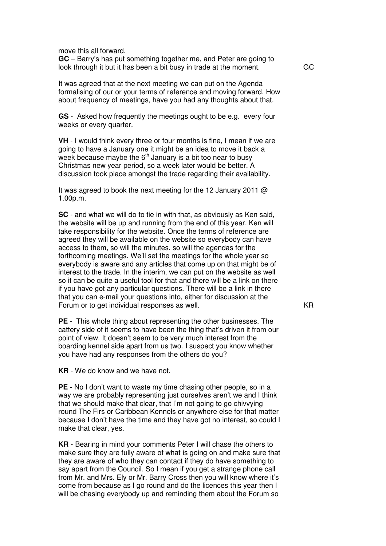move this all forward.

**GC** – Barry's has put something together me, and Peter are going to look through it but it has been a bit busy in trade at the moment.

It was agreed that at the next meeting we can put on the Agenda formalising of our or your terms of reference and moving forward. How about frequency of meetings, have you had any thoughts about that.

**GS** - Asked how frequently the meetings ought to be e.g. every four weeks or every quarter.

**VH** - I would think every three or four months is fine, I mean if we are going to have a January one it might be an idea to move it back a week because maybe the  $6<sup>th</sup>$  January is a bit too near to busy Christmas new year period, so a week later would be better. A discussion took place amongst the trade regarding their availability.

It was agreed to book the next meeting for the 12 January 2011  $\omega$ 1.00p.m.

**SC** - and what we will do to tie in with that, as obviously as Ken said, the website will be up and running from the end of this year. Ken will take responsibility for the website. Once the terms of reference are agreed they will be available on the website so everybody can have access to them, so will the minutes, so will the agendas for the forthcoming meetings. We'll set the meetings for the whole year so everybody is aware and any articles that come up on that might be of interest to the trade. In the interim, we can put on the website as well so it can be quite a useful tool for that and there will be a link on there if you have got any particular questions. There will be a link in there that you can e-mail your questions into, either for discussion at the Forum or to get individual responses as well.

**PE** - This whole thing about representing the other businesses. The cattery side of it seems to have been the thing that's driven it from our point of view. It doesn't seem to be very much interest from the boarding kennel side apart from us two. I suspect you know whether you have had any responses from the others do you?

**KR** - We do know and we have not.

**PE** - No I don't want to waste my time chasing other people, so in a way we are probably representing just ourselves aren't we and I think that we should make that clear, that I'm not going to go chivvying round The Firs or Caribbean Kennels or anywhere else for that matter because I don't have the time and they have got no interest, so could I make that clear, yes.

**KR** - Bearing in mind your comments Peter I will chase the others to make sure they are fully aware of what is going on and make sure that they are aware of who they can contact if they do have something to say apart from the Council. So I mean if you get a strange phone call from Mr. and Mrs. Ely or Mr. Barry Cross then you will know where it's come from because as I go round and do the licences this year then I will be chasing everybody up and reminding them about the Forum so

KR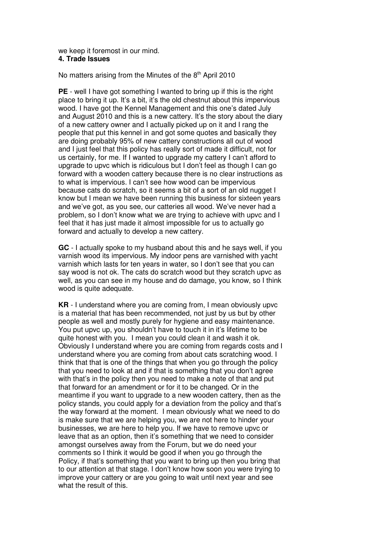#### we keep it foremost in our mind. **4. Trade Issues**

No matters arising from the Minutes of the  $8<sup>th</sup>$  April 2010

**PE** - well I have got something I wanted to bring up if this is the right place to bring it up. It's a bit, it's the old chestnut about this impervious wood. I have got the Kennel Management and this one's dated July and August 2010 and this is a new cattery. It's the story about the diary of a new cattery owner and I actually picked up on it and I rang the people that put this kennel in and got some quotes and basically they are doing probably 95% of new cattery constructions all out of wood and I just feel that this policy has really sort of made it difficult, not for us certainly, for me. If I wanted to upgrade my cattery I can't afford to upgrade to upvc which is ridiculous but I don't feel as though I can go forward with a wooden cattery because there is no clear instructions as to what is impervious. I can't see how wood can be impervious because cats do scratch, so it seems a bit of a sort of an old nugget I know but I mean we have been running this business for sixteen years and we've got, as you see, our catteries all wood. We've never had a problem, so I don't know what we are trying to achieve with upvc and I feel that it has just made it almost impossible for us to actually go forward and actually to develop a new cattery.

**GC** - I actually spoke to my husband about this and he says well, if you varnish wood its impervious. My indoor pens are varnished with yacht varnish which lasts for ten years in water, so I don't see that you can say wood is not ok. The cats do scratch wood but they scratch upvc as well, as you can see in my house and do damage, you know, so I think wood is quite adequate.

**KR** - I understand where you are coming from, I mean obviously upvc is a material that has been recommended, not just by us but by other people as well and mostly purely for hygiene and easy maintenance. You put upvc up, you shouldn't have to touch it in it's lifetime to be quite honest with you. I mean you could clean it and wash it ok. Obviously I understand where you are coming from regards costs and I understand where you are coming from about cats scratching wood. I think that that is one of the things that when you go through the policy that you need to look at and if that is something that you don't agree with that's in the policy then you need to make a note of that and put that forward for an amendment or for it to be changed. Or in the meantime if you want to upgrade to a new wooden cattery, then as the policy stands, you could apply for a deviation from the policy and that's the way forward at the moment. I mean obviously what we need to do is make sure that we are helping you, we are not here to hinder your businesses, we are here to help you. If we have to remove upvc or leave that as an option, then it's something that we need to consider amongst ourselves away from the Forum, but we do need your comments so I think it would be good if when you go through the Policy, if that's something that you want to bring up then you bring that to our attention at that stage. I don't know how soon you were trying to improve your cattery or are you going to wait until next year and see what the result of this.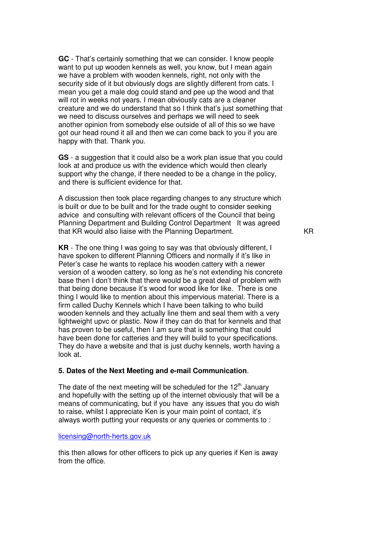**GC** - That's certainly something that we can consider. I know people want to put up wooden kennels as well, you know, but I mean again we have a problem with wooden kennels, right, not only with the security side of it but obviously dogs are slightly different from cats. I mean you get a male dog could stand and pee up the wood and that will rot in weeks not years. I mean obviously cats are a cleaner creature and we do understand that so I think that's just something that we need to discuss ourselves and perhaps we will need to seek another opinion from somebody else outside of all of this so we have got our head round it all and then we can come back to you if you are happy with that. Thank you.

**GS** - a suggestion that it could also be a work plan issue that you could look at and produce us with the evidence which would then clearly support why the change, if there needed to be a change in the policy, and there is sufficient evidence for that.

A discussion then took place regarding changes to any structure which is built or due to be built and for the trade ought to consider seeking advice and consulting with relevant officers of the Council that being Planning Department and Building Control Department It was agreed that KR would also liaise with the Planning Department.

**KR** - The one thing I was going to say was that obviously different, I have spoken to different Planning Officers and normally if it's like in Peter's case he wants to replace his wooden cattery with a newer version of a wooden cattery, so long as he's not extending his concrete base then I don't think that there would be a great deal of problem with that being done because it's wood for wood like for like. There is one thing I would like to mention about this impervious material. There is a firm called Duchy Kennels which I have been talking to who build wooden kennels and they actually line them and seal them with a very lightweight upvc or plastic. Now if they can do that for kennels and that has proven to be useful, then I am sure that is something that could have been done for catteries and they will build to your specifications. They do have a website and that is just duchy kennels, worth having a look at.

## **5. Dates of the Next Meeting and e-mail Communication**.

The date of the next meeting will be scheduled for the  $12<sup>th</sup>$  January and hopefully with the setting up of the internet obviously that will be a means of communicating, but if you have any issues that you do wish to raise, whilst I appreciate Ken is your main point of contact, it's always worth putting your requests or any queries or comments to :

#### licensing@north-herts.gov.uk

this then allows for other officers to pick up any queries if Ken is away from the office.

KR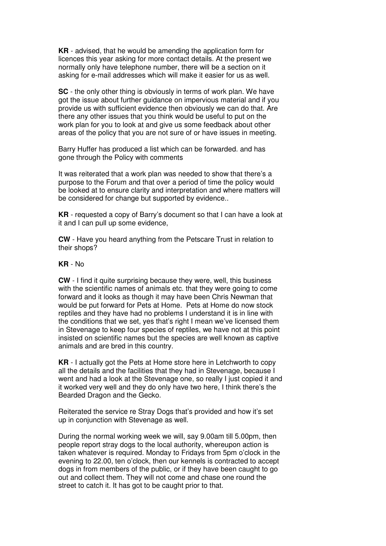**KR** - advised, that he would be amending the application form for licences this year asking for more contact details. At the present we normally only have telephone number, there will be a section on it asking for e-mail addresses which will make it easier for us as well.

**SC** - the only other thing is obviously in terms of work plan. We have got the issue about further guidance on impervious material and if you provide us with sufficient evidence then obviously we can do that. Are there any other issues that you think would be useful to put on the work plan for you to look at and give us some feedback about other areas of the policy that you are not sure of or have issues in meeting.

Barry Huffer has produced a list which can be forwarded. and has gone through the Policy with comments

It was reiterated that a work plan was needed to show that there's a purpose to the Forum and that over a period of time the policy would be looked at to ensure clarity and interpretation and where matters will be considered for change but supported by evidence..

**KR** - requested a copy of Barry's document so that I can have a look at it and I can pull up some evidence,

**CW** - Have you heard anything from the Petscare Trust in relation to their shops?

## **KR** - No

**CW** - I find it quite surprising because they were, well, this business with the scientific names of animals etc. that they were going to come forward and it looks as though it may have been Chris Newman that would be put forward for Pets at Home. Pets at Home do now stock reptiles and they have had no problems I understand it is in line with the conditions that we set, yes that's right I mean we've licensed them in Stevenage to keep four species of reptiles, we have not at this point insisted on scientific names but the species are well known as captive animals and are bred in this country.

**KR** - I actually got the Pets at Home store here in Letchworth to copy all the details and the facilities that they had in Stevenage, because I went and had a look at the Stevenage one, so really I just copied it and it worked very well and they do only have two here, I think there's the Bearded Dragon and the Gecko.

Reiterated the service re Stray Dogs that's provided and how it's set up in conjunction with Stevenage as well.

During the normal working week we will, say 9.00am till 5.00pm, then people report stray dogs to the local authority, whereupon action is taken whatever is required. Monday to Fridays from 5pm o'clock in the evening to 22.00, ten o'clock, then our kennels is contracted to accept dogs in from members of the public, or if they have been caught to go out and collect them. They will not come and chase one round the street to catch it. It has got to be caught prior to that.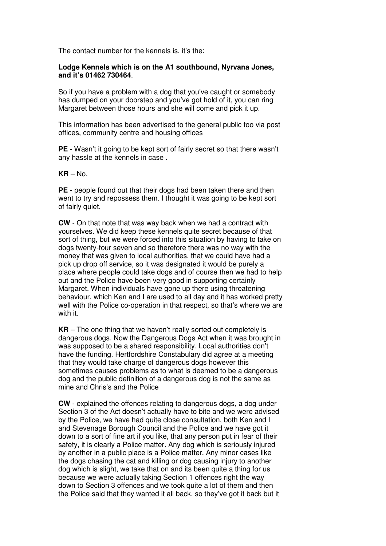The contact number for the kennels is, it's the:

# **Lodge Kennels which is on the A1 southbound, Nyrvana Jones, and it's 01462 730464**.

So if you have a problem with a dog that you've caught or somebody has dumped on your doorstep and you've got hold of it, you can ring Margaret between those hours and she will come and pick it up.

This information has been advertised to the general public too via post offices, community centre and housing offices

**PE** - Wasn't it going to be kept sort of fairly secret so that there wasn't any hassle at the kennels in case .

**KR** – No.

**PE** - people found out that their dogs had been taken there and then went to try and repossess them. I thought it was going to be kept sort of fairly quiet.

**CW** - On that note that was way back when we had a contract with yourselves. We did keep these kennels quite secret because of that sort of thing, but we were forced into this situation by having to take on dogs twenty-four seven and so therefore there was no way with the money that was given to local authorities, that we could have had a pick up drop off service, so it was designated it would be purely a place where people could take dogs and of course then we had to help out and the Police have been very good in supporting certainly Margaret. When individuals have gone up there using threatening behaviour, which Ken and I are used to all day and it has worked pretty well with the Police co-operation in that respect, so that's where we are with it.

**KR** – The one thing that we haven't really sorted out completely is dangerous dogs. Now the Dangerous Dogs Act when it was brought in was supposed to be a shared responsibility. Local authorities don't have the funding. Hertfordshire Constabulary did agree at a meeting that they would take charge of dangerous dogs however this sometimes causes problems as to what is deemed to be a dangerous dog and the public definition of a dangerous dog is not the same as mine and Chris's and the Police

**CW** - explained the offences relating to dangerous dogs, a dog under Section 3 of the Act doesn't actually have to bite and we were advised by the Police, we have had quite close consultation, both Ken and I and Stevenage Borough Council and the Police and we have got it down to a sort of fine art if you like, that any person put in fear of their safety, it is clearly a Police matter. Any dog which is seriously injured by another in a public place is a Police matter. Any minor cases like the dogs chasing the cat and killing or dog causing injury to another dog which is slight, we take that on and its been quite a thing for us because we were actually taking Section 1 offences right the way down to Section 3 offences and we took quite a lot of them and then the Police said that they wanted it all back, so they've got it back but it